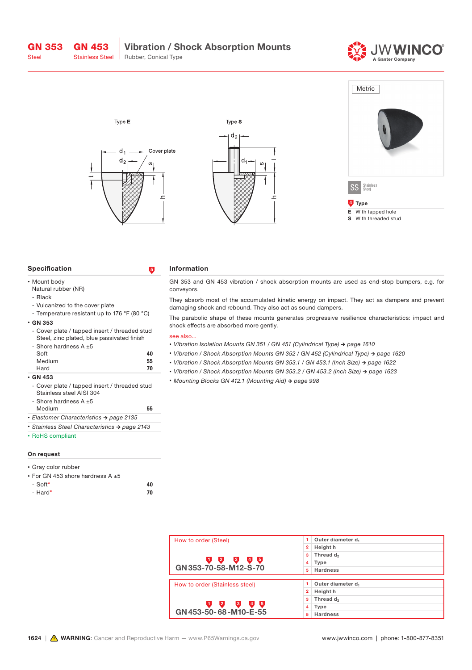GN 353 Steel





| <b>Specification</b>                                                                                                      | $\overline{5}$ | <b>Information</b>                                                                                                                                                                                                                                                                                                                                                                         |  |  |  |  |
|---------------------------------------------------------------------------------------------------------------------------|----------------|--------------------------------------------------------------------------------------------------------------------------------------------------------------------------------------------------------------------------------------------------------------------------------------------------------------------------------------------------------------------------------------------|--|--|--|--|
| • Mount body<br>Natural rubber (NR)                                                                                       |                | GN 353 and GN 453 vibration / shock absorption mounts are used as end-stop bumpers, e.g. for<br>conveyors.                                                                                                                                                                                                                                                                                 |  |  |  |  |
| - Black<br>- Vulcanized to the cover plate                                                                                |                | They absorb most of the accumulated kinetic energy on impact. They act as dampers and prevent<br>damaging shock and rebound. They also act as sound dampers.                                                                                                                                                                                                                               |  |  |  |  |
| - Temperature resistant up to 176 $\degree$ F (80 $\degree$ C)<br>$\cdot$ GN 353                                          |                | The parabolic shape of these mounts generates progressive resilience characteristics: impact and<br>shock effects are absorbed more gently.                                                                                                                                                                                                                                                |  |  |  |  |
| - Cover plate / tapped insert / threaded stud<br>Steel, zinc plated, blue passivated finish<br>- Shore hardness $A \pm 5$ |                | see also<br>• Vibration Isolation Mounts GN 351 / GN 451 (Cylindrical Type) → page 1610                                                                                                                                                                                                                                                                                                    |  |  |  |  |
| Soft<br>Medium                                                                                                            | 40<br>55       | • Vibration / Shock Absorption Mounts GN 352 / GN 452 (Cylindrical Type) $\rightarrow$ page 1620<br>• Vibration / Shock Absorption Mounts GN 353.1 / GN 453.1 (Inch Size) $\rightarrow$ page 1622                                                                                                                                                                                          |  |  |  |  |
| Hard<br>$\cdot$ GN 453                                                                                                    | 70             | • Vibration / Shock Absorption Mounts GN 353.2 / GN 453.2 (Inch Size) $\rightarrow$ page 1623<br>$M_1, \ldots, M_n, D_1, M_2, D_2, D_3, D_4, D_5, D_6, D_7, D_8, D_9, D_1, D_2, D_1, D_2, D_3, D_4, D_5, D_6, D_7, D_8, D_8, D_9, D_1, D_1, D_2, D_1, D_2, D_1, D_2, D_1, D_2, D_1, D_2, D_2, D_3, D_1, D_2, D_3, D_1, D_2, D_3, D_1, D_2, D_3, D_1, D_2, D_3, D_1, D_2, D_3, D_1, D_2, D$ |  |  |  |  |

- Cover plate / tapped insert / threaded stud Stainless steel AISI 304
- Shore hardness A  $\pm 5$

| <b>Medium</b>                           | 55 |
|-----------------------------------------|----|
| • Elastomer Characteristics → page 2135 |    |

- *• Stainless Steel Characteristics → page 2143*
- RoHS compliant

## On request

| • Gray color rubber                   |    |
|---------------------------------------|----|
| • For GN 453 shore hardness A $\pm 5$ |    |
| $-$ Soft*                             | 40 |
| - Hard*                               | 70 |

*• Mounting Blocks GN 412.1 (Mounting Aid) → page 998*

| How to order (Steel)           | Outer diameter d                  |  |  |  |  |
|--------------------------------|-----------------------------------|--|--|--|--|
|                                | Height h<br>2                     |  |  |  |  |
|                                | 3<br>Thread d <sub>2</sub>        |  |  |  |  |
| $4\overline{5}$<br>2<br>G.     | 4<br>Type<br><b>Hardness</b><br>5 |  |  |  |  |
| GN 353-70-58-M12-S-70          |                                   |  |  |  |  |
|                                |                                   |  |  |  |  |
| How to order (Stainless steel) | Outer diameter d <sub>1</sub>     |  |  |  |  |
|                                | Height h<br>$\overline{2}$        |  |  |  |  |
|                                | Thread d <sub>2</sub><br>3        |  |  |  |  |
| 2<br>$4\overline{5}$<br>3      | 4<br>Type                         |  |  |  |  |
| GN 453-50-68-M10-E-55          | <b>Hardness</b><br>5              |  |  |  |  |